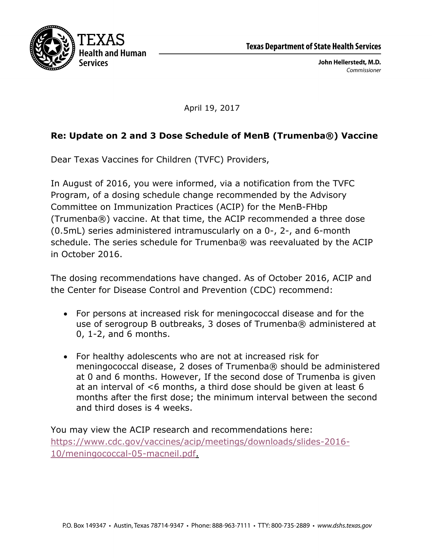



April 19, 2017

## **Re: Update on 2 and 3 Dose Schedule of MenB (Trumenba®) Vaccine**

Dear Texas Vaccines for Children (TVFC) Providers,

In August of 2016, you were informed, via a notification from the TVFC Program, of a dosing schedule change recommended by the Advisory Committee on Immunization Practices (ACIP) for the MenB-FHbp (Trumenba®) vaccine. At that time, the ACIP recommended a three dose (0.5mL) series administered intramuscularly on a 0-, 2-, and 6-month schedule. The series schedule for Trumenba® was reevaluated by the ACIP in October 2016.

The dosing recommendations have changed. As of October 2016, ACIP and the Center for Disease Control and Prevention (CDC) recommend:

- For persons at increased risk for meningococcal disease and for the use of serogroup B outbreaks, 3 doses of Trumenba® administered at 0, 1-2, and 6 months.
- For healthy adolescents who are not at increased risk for meningococcal disease, 2 doses of Trumenba® should be administered at 0 and 6 months. However, If the second dose of Trumenba is given at an interval of <6 months, a third dose should be given at least 6 months after the first dose; the minimum interval between the second and third doses is 4 weeks.

You may view the ACIP research and recommendations here: https://www.cdc.gov/vaccines/acip/meetings/downloads/slides-2016- 10/meningococcal-05-macneil.pdf.